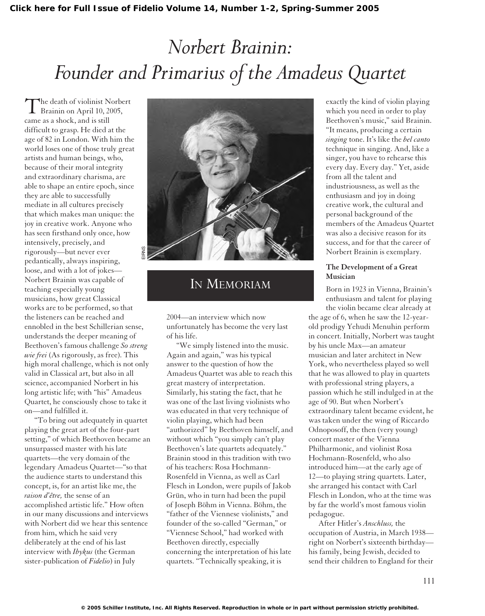# *Norbert Brainin: Founder and Primarius of the Amadeus Quartet*

The death of violinist Norbert Brainin on April 10, 2005, came as a shock, and is still difficult to grasp. He died at the age of 82 in London. With him the world loses one of those truly great artists and human beings, who, because of their moral integrity and extraordinary charisma, are able to shape an entire epoch, since they are able to successfully mediate in all cultures precisely that which makes man unique: the joy in creative work. Anyone who has seen firsthand only once, how intensively, precisely, and rigorously—but never ever pedantically, always inspiring, loose, and with a lot of jokes— Norbert Brainin was capable of teaching especially young musicians, how great Classical works are to be performed, so that the listeners can be reached and ennobled in the best Schillerian sense, understands the deeper meaning of Beethoven's famous challenge *So streng wie frei* (As rigorously, as free). This high moral challenge, which is not only valid in Classical art, but also in all science, accompanied Norbert in his long artistic life; with "his" Amadeus Quartet, he consciously chose to take it on—and fulfilled it. EIRNS

"To bring out adequately in quartet playing the great art of the four-part setting," of which Beethoven became an unsurpassed master with his late quartets—the very domain of the legendary Amadeus Quartet—"so that the audience starts to understand this concept, is, for an artist like me, the *raison d'être,* the sense of an accomplished artistic life." How often in our many discussions and interviews with Norbert did we hear this sentence from him, which he said very deliberately at the end of his last interview with *Ibykus* (the German sister-publication of *Fidelio*) in July



## IN MEMORIAM

2004—an interview which now unfortunately has become the very last of his life.

"We simply listened into the music. Again and again," was his typical answer to the question of how the Amadeus Quartet was able to reach this great mastery of interpretation. Similarly, his stating the fact, that he was one of the last living violinists who was educated in that very technique of violin playing, which had been "authorized" by Beethoven himself, and without which "you simply can't play Beethoven's late quartets adequately." Brainin stood in this tradition with two of his teachers: Rosa Hochmann-Rosenfeld in Vienna, as well as Carl Flesch in London, were pupils of Jakob Grün, who in turn had been the pupil of Joseph Böhm in Vienna. Böhm, the "father of the Viennese violinists," and founder of the so-called "German," or "Viennese School," had worked with Beethoven directly, especially concerning the interpretation of his late quartets. "Technically speaking, it is

exactly the kind of violin playing which you need in order to play Beethoven's music," said Brainin. "It means, producing a certain *singing* tone. It's like the *bel canto* technique in singing. And, like a singer, you have to rehearse this every day. Every day." Yet, aside from all the talent and industriousness, as well as the enthusiasm and joy in doing creative work, the cultural and personal background of the members of the Amadeus Quartet was also a decisive reason for its success, and for that the career of Norbert Brainin is exemplary.

### **The Development of a Great Musician**

Born in 1923 in Vienna, Brainin's enthusiasm and talent for playing the violin became clear already at

the age of 6, when he saw the 12-yearold prodigy Yehudi Menuhin perform in concert. Initially, Norbert was taught by his uncle Max—an amateur musician and later architect in New York, who nevertheless played so well that he was allowed to play in quartets with professional string players, a passion which he still indulged in at the age of 90. But when Norbert's extraordinary talent became evident, he was taken under the wing of Riccardo Odnoposoff, the then (very young) concert master of the Vienna Philharmonic, and violinist Rosa Hochmann-Rosenfeld, who also introduced him—at the early age of 12—to playing string quartets. Later, she arranged his contact with Carl Flesch in London, who at the time was by far the world's most famous violin pedagogue.

After Hitler's *Anschluss,* the occupation of Austria, in March 1938 right on Norbert's sixteenth birthday his family, being Jewish, decided to send their children to England for their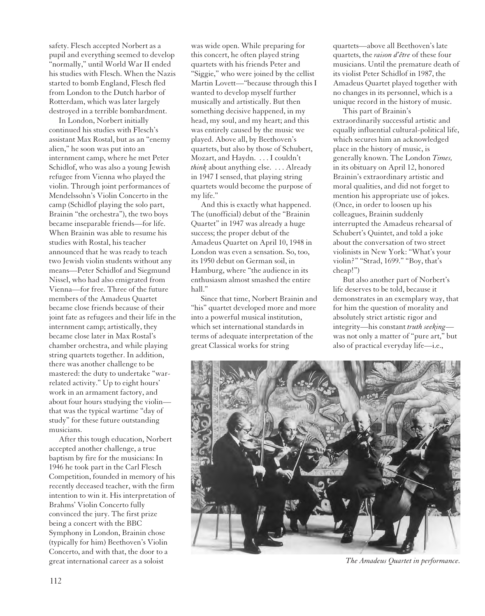safety. Flesch accepted Norbert as a pupil and everything seemed to develop "normally," until World War II ended his studies with Flesch. When the Nazis started to bomb England, Flesch fled from London to the Dutch harbor of Rotterdam, which was later largely destroyed in a terrible bombardment.

In London, Norbert initially continued his studies with Flesch's assistant Max Rostal, but as an "enemy alien," he soon was put into an internment camp, where he met Peter Schidlof, who was also a young Jewish refugee from Vienna who played the violin. Through joint performances of Mendelssohn's Violin Concerto in the camp (Schidlof playing the solo part, Brainin "the orchestra"), the two boys became inseparable friends—for life. When Brainin was able to resume his studies with Rostal, his teacher announced that he was ready to teach two Jewish violin students without any means—Peter Schidlof and Siegmund Nissel, who had also emigrated from Vienna—for free. Three of the future members of the Amadeus Quartet became close friends because of their joint fate as refugees and their life in the internment camp; artistically, they became close later in Max Rostal's chamber orchestra, and while playing string quartets together. In addition, there was another challenge to be mastered: the duty to undertake "warrelated activity." Up to eight hours' work in an armament factory, and about four hours studying the violin that was the typical wartime "day of study" for these future outstanding musicians.

After this tough education, Norbert accepted another challenge, a true baptism by fire for the musicians: In 1946 he took part in the Carl Flesch Competition, founded in memory of his recently deceased teacher, with the firm intention to win it. His interpretation of Brahms' Violin Concerto fully convinced the jury. The first prize being a concert with the BBC Symphony in London, Brainin chose (typically for him) Beethoven's Violin Concerto, and with that, the door to a great international career as a soloist

was wide open. While preparing for this concert, he often played string quartets with his friends Peter and "Siggie," who were joined by the cellist Martin Lovett—"because through this I wanted to develop myself further musically and artistically. But then something decisive happened, in my head, my soul, and my heart; and this was entirely caused by the music we played. Above all, by Beethoven's quartets, but also by those of Schubert, Mozart, and Haydn. . . . I couldn't *think* about anything else. . . . Already in 1947 I sensed, that playing string quartets would become the purpose of my life."

And this is exactly what happened. The (unofficial) debut of the "Brainin Quartet" in 1947 was already a huge success; the proper debut of the Amadeus Quartet on April 10, 1948 in London was even a sensation. So, too, its 1950 debut on German soil, in Hamburg, where "the audience in its enthusiasm almost smashed the entire hall"

Since that time, Norbert Brainin and "his" quartet developed more and more into a powerful musical institution, which set international standards in terms of adequate interpretation of the great Classical works for string

quartets—above all Beethoven's late quartets, the *raison d'être* of these four musicians. Until the premature death of its violist Peter Schidlof in 1987, the Amadeus Quartet played together with no changes in its personnel, which is a unique record in the history of music.

This part of Brainin's extraordinarily successful artistic and equally influential cultural-political life, which secures him an acknowledged place in the history of music, is generally known. The London *Times,* in its obituary on April 12, honored Brainin's extraordinary artistic and moral qualities, and did not forget to mention his appropriate use of jokes. (Once, in order to loosen up his colleagues, Brainin suddenly interrupted the Amadeus rehearsal of Schubert's Quintet, and told a joke about the conversation of two street violinists in New York: "What's your violin?" "Strad, 1699." "Boy, that's cheap!")

But also another part of Norbert's life deserves to be told, because it demonstrates in an exemplary way, that for him the question of morality and absolutely strict artistic rigor and integrity—his constant *truth seeking* was not only a matter of "pure art," but also of practical everyday life—i.e.,



*The Amadeus Quartet in performance.*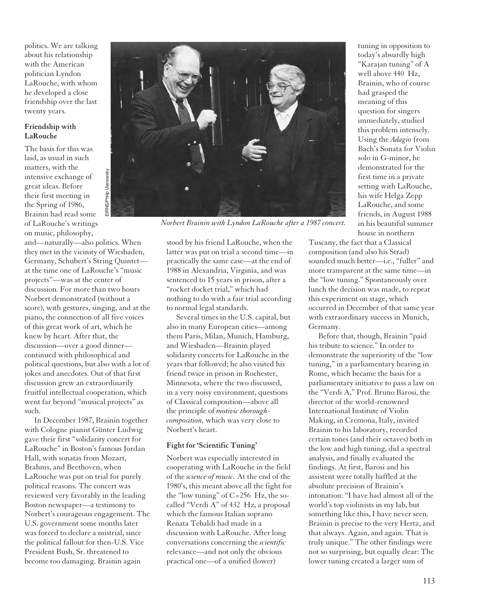politics. We are talking about his relationship with the American politician Lyndon LaRouche, with whom he developed a close friendship over the last twenty years.

### **Friendship with LaRouche**

The basis for this was laid, as usual in such matters, with the intensive exchange of great ideas. Before their first meeting in the Spring of 1986, Brainin had read some of LaRouche's writings on music, philosophy,

and—naturally—also politics. When they met in the vicinity of Wiesbaden, Germany, Schubert's String Quintet at the time one of LaRouche's "music projects"—was at the center of discussion. For more than two hours Norbert demonstrated (without a score), with gestures, singing, and at the piano, the connection of all five voices of this great work of art, which he knew by heart. After that, the discussion—over a good dinner continued with philosophical and political questions, but also with a lot of jokes and anecdotes. Out of that first discussion grew an extraordinarily fruitful intellectual cooperation, which went far beyond "musical projects" as such.

In December 1987, Brainin together with Cologne pianist Günter Ludwig gave their first "solidarity concert for LaRouche" in Boston's famous Jordan Hall, with sonatas from Mozart, Brahms, and Beethoven, when LaRouche was put on trial for purely political reasons. The concert was reviewed very favorably in the leading Boston newspaper—a testimony to Norbert's courageous engagement. The U.S. government some months later was forced to declare a mistrial, since the political fallout for then-U.S. Vice President Bush, Sr. threatened to become too damaging. Brainin again



*Norbert Brainin with Lyndon LaRouche after a 1987 concert.*

stood by his friend LaRouche, when the latter was put on trial a second time—in practically the same case—at the end of 1988 in Alexandria, Virginia, and was sentenced to 15 years in prison, after a "rocket docket trial," which had nothing to do with a fair trial according to normal legal standards.

Several times in the U.S. capital, but also in many European cities—among them Paris, Milan, Munich, Hamburg, and Wiesbaden—Brainin played solidarity concerts for LaRouche in the years that followed; he also visited his friend twice in prison in Rochester, Minnesota, where the two discussed, in a very noisy environment, questions of Classical composition—above all the principle of *motivic thoroughcomposition,* which was very close to Norbert's heart.

### **Fight for 'Scientific Tuning'**

Norbert was especially interested in cooperating with LaRouche in the field of the *science of music.* At the end of the 1980's, this meant above all the fight for the "low tuning" of C=256 Hz, the socalled "Verdi A" of 432 Hz, a proposal which the famous Italian soprano Renata Tebaldi had made in a discussion with LaRouche. After long conversations concerning the *scientific* relevance—and not only the obvious practical one—of a unified (lower)

tuning in opposition to today's absurdly high "Karajan tuning" of A well above 440 Hz, Brainin, who of course had grasped the meaning of this question for singers immediately, studied this problem intensely. Using the *Adagio* from Bach's Sonata for Violin solo in G-minor, he demonstrated for the first time in a private setting with LaRouche, his wife Helga Zepp LaRouche, and some friends, in August 1988 in his beautiful summer house in northern

Tuscany, the fact that a Classical composition (and also his Strad) sounded much better—i.e., "fuller" and more transparent at the same time—in the "low tuning." Spontaneously over lunch the decision was made, to repeat this experiment on stage, which occurred in December of that same year with extraordinary success in Munich, Germany.

Before that, though, Brainin "paid his tribute to science." In order to demonstrate the superiority of the "low tuning," in a parliamentary hearing in Rome, which became the basis for a parliamentary initiative to pass a law on the "Verdi A," Prof. Bruno Barosi, the director of the world-renowned International Institute of Violin Making, in Cremona, Italy, invited Brainin to his laboratory, recorded certain tones (and their octaves) both in the low and high tuning, did a spectral analysis, and finally evaluated the findings. At first, Barosi and his assistent were totally baffled at the absolute precision of Brainin's intonation: "I have had almost all of the world's top violinists in my lab, but something like this, I have never seen. Brainin is precise to the very Hertz, and that always. Again, and again. That is truly unique." The other findings were not so surprising, but equally clear: The lower tuning created a larger sum of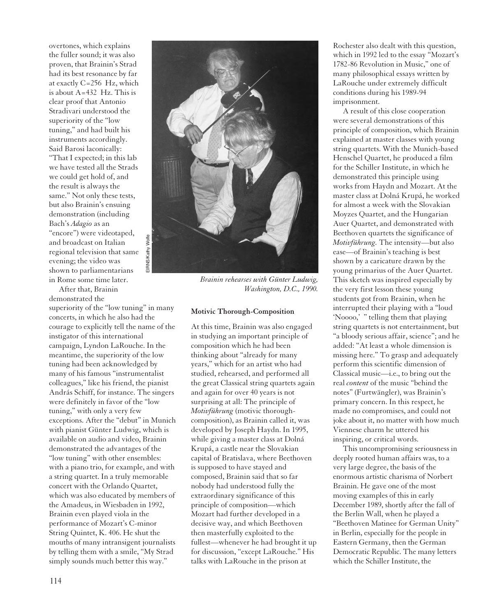overtones, which explains the fuller sound; it was also proven, that Brainin's Strad had its best resonance by far at exactly C=256 Hz, which is about A=432 Hz. This is clear proof that Antonio Stradivari understood the superiority of the "low tuning," and had built his instruments accordingly. Said Barosi laconically: "That I expected; in this lab we have tested all the Strads we could get hold of, and the result is always the same." Not only these tests, but also Brainin's ensuing demonstration (including Bach's *Adagio* as an "encore") were videotaped, and broadcast on Italian regional television that same evening; the video was

shown to parliamentarians in Rome some time later.

After that, Brainin demonstrated the

superiority of the "low tuning" in many concerts, in which he also had the courage to explicitly tell the name of the instigator of this international campaign, Lyndon LaRouche. In the meantime, the superiority of the low tuning had been acknowledged by many of his famous "instrumentalist colleagues," like his friend, the pianist András Schiff, for instance. The singers were definitely in favor of the "low tuning," with only a very few exceptions. After the "debut" in Munich with pianist Günter Ludwig, which is available on audio and video, Brainin demonstrated the advantages of the "low tuning" with other ensembles: with a piano trio, for example, and with a string quartet. In a truly memorable concert with the Orlando Quartet, which was also educated by members of the Amadeus, in Wiesbaden in 1992, Brainin even played viola in the performance of Mozart's C-minor String Quintet, K. 406. He shut the mouths of many intransigent journalists by telling them with a smile, "My Strad simply sounds much better this way."



*Brainin rehearses with Günter Ludwig, Washington, D.C., 1990.*

#### **Motivic Thorough-Composition**

At this time, Brainin was also engaged in studying an important principle of composition which he had been thinking about "already for many years," which for an artist who had studied, rehearsed, and performed all the great Classical string quartets again and again for over 40 years is not surprising at all: The principle of *Motivführung* (motivic thoroughcomposition), as Brainin called it, was developed by Joseph Haydn. In 1995, while giving a master class at Dolná Krupá, a castle near the Slovakian capital of Bratislava, where Beethoven is supposed to have stayed and composed, Brainin said that so far nobody had understood fully the extraordinary significance of this principle of composition—which Mozart had further developed in a decisive way, and which Beethoven then masterfully exploited to the fullest—whenever he had brought it up for discussion, "except LaRouche." His talks with LaRouche in the prison at

Rochester also dealt with this question, which in 1992 led to the essay "Mozart's 1782-86 Revolution in Music," one of many philosophical essays written by LaRouche under extremely difficult conditions during his 1989-94 imprisonment.

A result of this close cooperation were several demonstrations of this principle of composition, which Brainin explained at master classes with young string quartets. With the Munich-based Henschel Quartet, he produced a film for the Schiller Institute, in which he demonstrated this principle using works from Haydn and Mozart. At the master class at Dolná Krupá, he worked for almost a week with the Slovakian Moyzes Quartet, and the Hungarian Auer Quartet, and demonstrated with Beethoven quartets the significance of *Motivführung.* The intensity—but also ease—of Brainin's teaching is best shown by a caricature drawn by the young primarius of the Auer Quartet. This sketch was inspired especially by the very first lesson these young students got from Brainin, when he interrupted their playing with a "loud 'Noooo,' " telling them that playing string quartets is not entertainment, but "a bloody serious affair, science"; and he added: "At least a whole dimension is missing here." To grasp and adequately perform this scientific dimension of Classical music—i.e., to bring out the real *content* of the music "behind the notes" (Furtwängler), was Brainin's primary concern. In this respect, he made no compromises, and could not joke about it, no matter with how much Viennese charm he uttered his inspiring, or critical words.

This uncompromising seriousness in deeply rooted human affairs was, to a very large degree, the basis of the enormous artistic charisma of Norbert Brainin. He gave one of the most moving examples of this in early December 1989, shortly after the fall of the Berlin Wall, when he played a "Beethoven Matinee for German Unity" in Berlin, especially for the people in Eastern Germany, then the German Democratic Republic. The many letters which the Schiller Institute, the